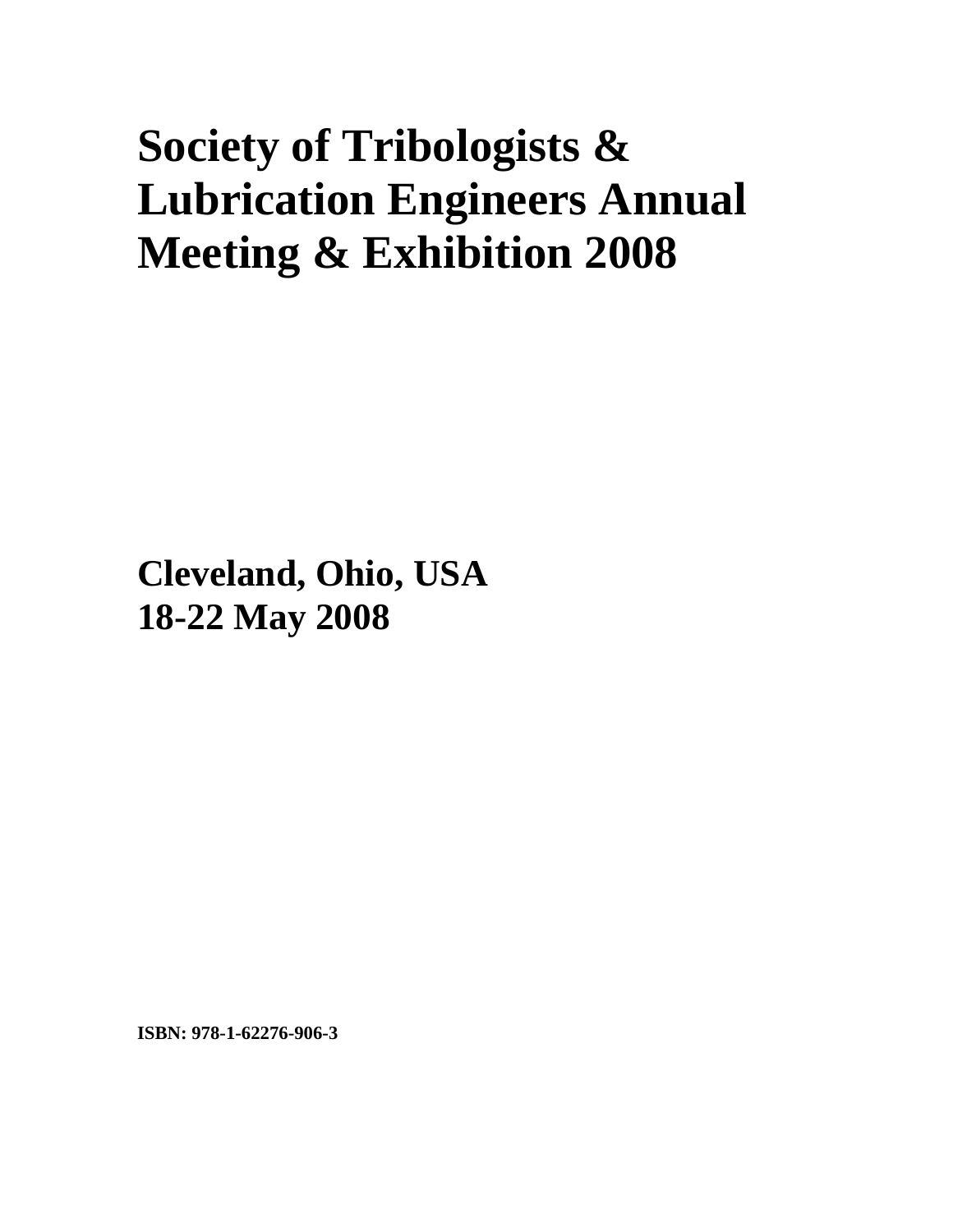# **Society of Tribologists & Lubrication Engineers Annual Meeting & Exhibition 2008**

**Cleveland, Ohio, USA 18-22 May 2008**

**ISBN: 978-1-62276-906-3**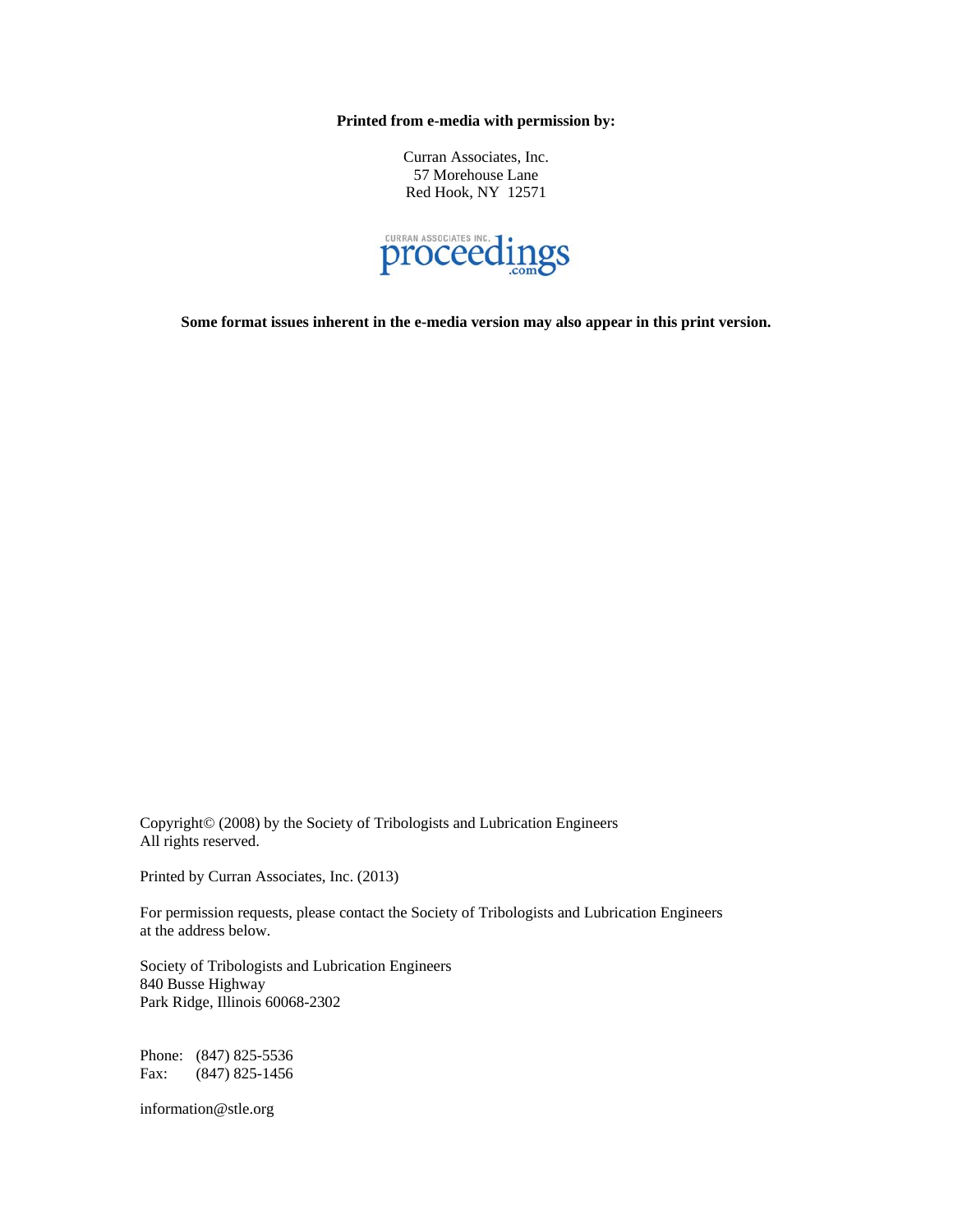**Printed from e-media with permission by:** 

Curran Associates, Inc. 57 Morehouse Lane Red Hook, NY 12571



**Some format issues inherent in the e-media version may also appear in this print version.** 

Copyright© (2008) by the Society of Tribologists and Lubrication Engineers All rights reserved.

Printed by Curran Associates, Inc. (2013)

For permission requests, please contact the Society of Tribologists and Lubrication Engineers at the address below.

Society of Tribologists and Lubrication Engineers 840 Busse Highway Park Ridge, Illinois 60068-2302

Phone: (847) 825-5536 Fax: (847) 825-1456

information@stle.org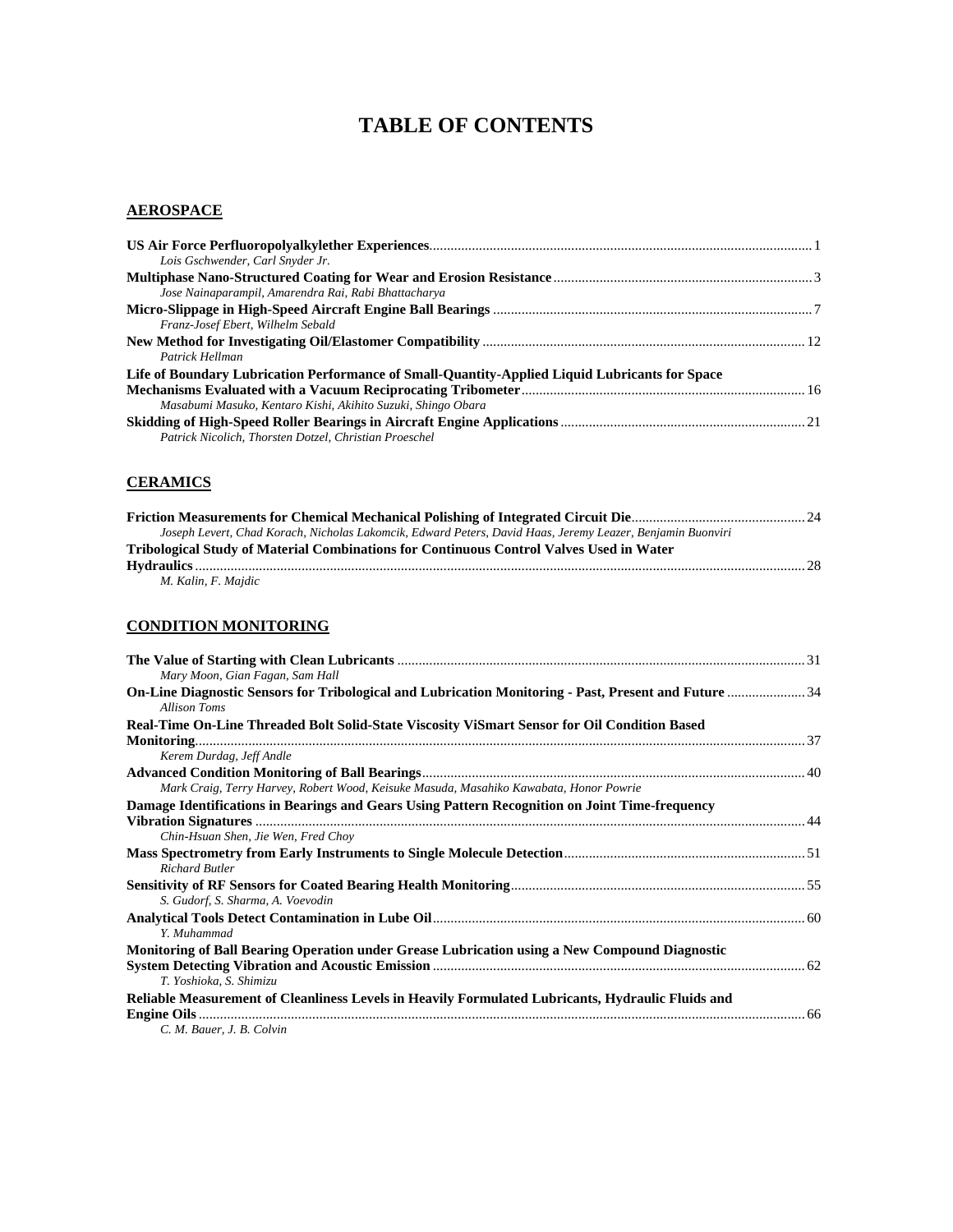## **TABLE OF CONTENTS**

#### **AEROSPACE**

| Lois Gschwender, Carl Snyder Jr.                                                               |  |
|------------------------------------------------------------------------------------------------|--|
|                                                                                                |  |
| Jose Nainaparampil, Amarendra Rai, Rabi Bhattacharya                                           |  |
|                                                                                                |  |
| Franz-Josef Ebert, Wilhelm Sebald                                                              |  |
|                                                                                                |  |
| Patrick Hellman                                                                                |  |
| Life of Boundary Lubrication Performance of Small-Quantity-Applied Liquid Lubricants for Space |  |
|                                                                                                |  |
| Masabumi Masuko, Kentaro Kishi, Akihito Suzuki, Shingo Obara                                   |  |
|                                                                                                |  |
| Patrick Nicolich, Thorsten Dotzel, Christian Proeschel                                         |  |

## **CERAMICS**

| Joseph Levert, Chad Korach, Nicholas Lakomcik, Edward Peters, David Haas, Jeremy Leazer, Benjamin Buonviri |  |
|------------------------------------------------------------------------------------------------------------|--|
| Tribological Study of Material Combinations for Continuous Control Valves Used in Water                    |  |
|                                                                                                            |  |
| M. Kalin, F. Majdic                                                                                        |  |

## **CONDITION MONITORING**

| Mary Moon, Gian Fagan, Sam Hall                                                                                              |  |
|------------------------------------------------------------------------------------------------------------------------------|--|
| On-Line Diagnostic Sensors for Tribological and Lubrication Monitoring - Past, Present and Future  34<br><b>Allison Toms</b> |  |
| Real-Time On-Line Threaded Bolt Solid-State Viscosity ViSmart Sensor for Oil Condition Based                                 |  |
|                                                                                                                              |  |
| Kerem Durdag, Jeff Andle                                                                                                     |  |
|                                                                                                                              |  |
| Mark Craig, Terry Harvey, Robert Wood, Keisuke Masuda, Masahiko Kawabata, Honor Powrie                                       |  |
| Damage Identifications in Bearings and Gears Using Pattern Recognition on Joint Time-frequency                               |  |
|                                                                                                                              |  |
| Chin-Hsuan Shen, Jie Wen, Fred Choy                                                                                          |  |
|                                                                                                                              |  |
| <b>Richard Butler</b>                                                                                                        |  |
|                                                                                                                              |  |
| S. Gudorf, S. Sharma, A. Voevodin                                                                                            |  |
|                                                                                                                              |  |
| Y. Muhammad                                                                                                                  |  |
| Monitoring of Ball Bearing Operation under Grease Lubrication using a New Compound Diagnostic                                |  |
|                                                                                                                              |  |
| T. Yoshioka, S. Shimizu                                                                                                      |  |
| Reliable Measurement of Cleanliness Levels in Heavily Formulated Lubricants, Hydraulic Fluids and                            |  |
|                                                                                                                              |  |
| C. M. Bauer, J. B. Colvin                                                                                                    |  |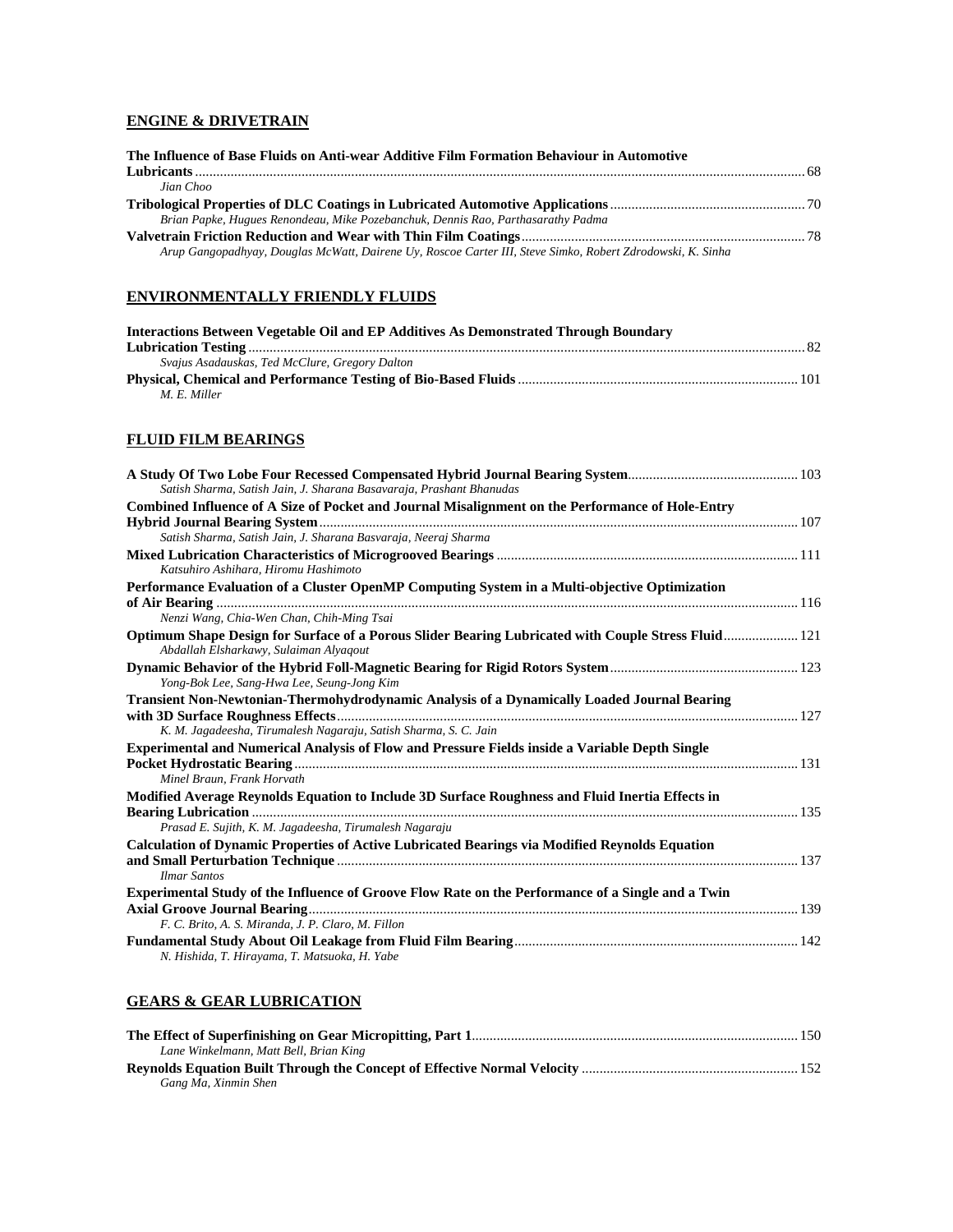## **ENGINE & DRIVETRAIN**

| The Influence of Base Fluids on Anti-wear Additive Film Formation Behaviour in Automotive                  |  |
|------------------------------------------------------------------------------------------------------------|--|
|                                                                                                            |  |
| Jian Choo                                                                                                  |  |
|                                                                                                            |  |
| Brian Papke, Hugues Renondeau, Mike Pozebanchuk, Dennis Rao, Parthasarathy Padma                           |  |
|                                                                                                            |  |
| Arup Gangopadhyay, Douglas McWatt, Dairene Uy, Roscoe Carter III, Steve Simko, Robert Zdrodowski, K. Sinha |  |

#### **ENVIRONMENTALLY FRIENDLY FLUIDS**

| Interactions Between Vegetable Oil and EP Additives As Demonstrated Through Boundary |  |
|--------------------------------------------------------------------------------------|--|
|                                                                                      |  |
| Svajus Asadauskas, Ted McClure, Gregory Dalton                                       |  |
|                                                                                      |  |
| M. E. Miller                                                                         |  |

## **FLUID FILM BEARINGS**

| Satish Sharma, Satish Jain, J. Sharana Basavaraja, Prashant Bhanudas                                                                          |  |
|-----------------------------------------------------------------------------------------------------------------------------------------------|--|
| Combined Influence of A Size of Pocket and Journal Misalignment on the Performance of Hole-Entry                                              |  |
|                                                                                                                                               |  |
| Satish Sharma, Satish Jain, J. Sharana Basvaraja, Neeraj Sharma                                                                               |  |
| Katsuhiro Ashihara, Hiromu Hashimoto                                                                                                          |  |
| Performance Evaluation of a Cluster OpenMP Computing System in a Multi-objective Optimization                                                 |  |
|                                                                                                                                               |  |
| Nenzi Wang, Chia-Wen Chan, Chih-Ming Tsai                                                                                                     |  |
| Optimum Shape Design for Surface of a Porous Slider Bearing Lubricated with Couple Stress Fluid 121<br>Abdallah Elsharkawy, Sulaiman Alyaqout |  |
| Yong-Bok Lee, Sang-Hwa Lee, Seung-Jong Kim                                                                                                    |  |
| Transient Non-Newtonian-Thermohydrodynamic Analysis of a Dynamically Loaded Journal Bearing                                                   |  |
|                                                                                                                                               |  |
| K. M. Jagadeesha, Tirumalesh Nagaraju, Satish Sharma, S. C. Jain                                                                              |  |
| <b>Experimental and Numerical Analysis of Flow and Pressure Fields inside a Variable Depth Single</b>                                         |  |
|                                                                                                                                               |  |
| Minel Braun, Frank Horvath                                                                                                                    |  |
| Modified Average Reynolds Equation to Include 3D Surface Roughness and Fluid Inertia Effects in                                               |  |
|                                                                                                                                               |  |
| Prasad E. Sujith, K. M. Jagadeesha, Tirumalesh Nagaraju                                                                                       |  |
| Calculation of Dynamic Properties of Active Lubricated Bearings via Modified Reynolds Equation                                                |  |
| <b>Ilmar Santos</b>                                                                                                                           |  |
| Experimental Study of the Influence of Groove Flow Rate on the Performance of a Single and a Twin                                             |  |
|                                                                                                                                               |  |
| F. C. Brito, A. S. Miranda, J. P. Claro, M. Fillon                                                                                            |  |
| N. Hishida, T. Hirayama, T. Matsuoka, H. Yabe                                                                                                 |  |

## **GEARS & GEAR LUBRICATION**

| Lane Winkelmann, Matt Bell, Brian King |  |
|----------------------------------------|--|
|                                        |  |
| Gang Ma, Xinmin Shen                   |  |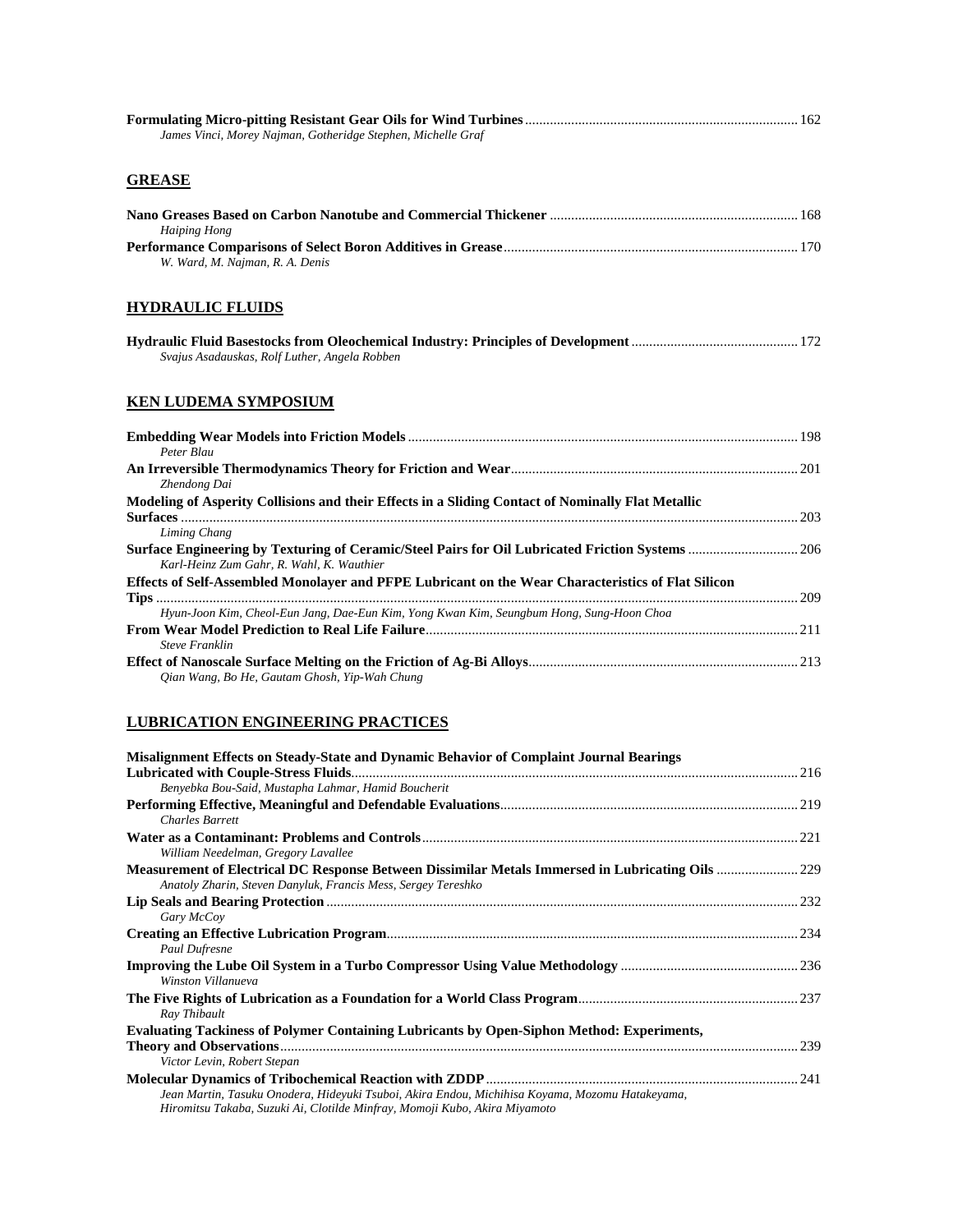| James Vinci, Morey Najman, Gotheridge Stephen, Michelle Graf                                                                                  |  |
|-----------------------------------------------------------------------------------------------------------------------------------------------|--|
| <b>GREASE</b>                                                                                                                                 |  |
| <b>Haiping Hong</b>                                                                                                                           |  |
| W. Ward, M. Najman, R. A. Denis                                                                                                               |  |
| <b>HYDRAULIC FLUIDS</b>                                                                                                                       |  |
| Svajus Asadauskas, Rolf Luther, Angela Robben                                                                                                 |  |
| <b>KEN LUDEMA SYMPOSIUM</b>                                                                                                                   |  |
| Peter Blau                                                                                                                                    |  |
| Zhendong Dai                                                                                                                                  |  |
| Modeling of Asperity Collisions and their Effects in a Sliding Contact of Nominally Flat Metallic<br>Liming Chang                             |  |
| Surface Engineering by Texturing of Ceramic/Steel Pairs for Oil Lubricated Friction Systems  206<br>Karl-Heinz Zum Gahr, R. Wahl, K. Wauthier |  |
| Effects of Self-Assembled Monolayer and PFPE Lubricant on the Wear Characteristics of Flat Silicon                                            |  |
| Hyun-Joon Kim, Cheol-Eun Jang, Dae-Eun Kim, Yong Kwan Kim, Seungbum Hong, Sung-Hoon Choa<br><b>Steve Franklin</b>                             |  |
| Qian Wang, Bo He, Gautam Ghosh, Yip-Wah Chung                                                                                                 |  |

## **LUBRICATION ENGINEERING PRACTICES**

| Misalignment Effects on Steady-State and Dynamic Behavior of Complaint Journal Bearings                                                                                                                                                                                                                                              |  |
|--------------------------------------------------------------------------------------------------------------------------------------------------------------------------------------------------------------------------------------------------------------------------------------------------------------------------------------|--|
|                                                                                                                                                                                                                                                                                                                                      |  |
| Benyebka Bou-Said, Mustapha Lahmar, Hamid Boucherit                                                                                                                                                                                                                                                                                  |  |
|                                                                                                                                                                                                                                                                                                                                      |  |
| <b>Charles Barrett</b>                                                                                                                                                                                                                                                                                                               |  |
|                                                                                                                                                                                                                                                                                                                                      |  |
| William Needelman, Gregory Lavallee                                                                                                                                                                                                                                                                                                  |  |
| Anatoly Zharin, Steven Danyluk, Francis Mess, Sergey Tereshko                                                                                                                                                                                                                                                                        |  |
|                                                                                                                                                                                                                                                                                                                                      |  |
| Gary McCoy                                                                                                                                                                                                                                                                                                                           |  |
|                                                                                                                                                                                                                                                                                                                                      |  |
| <b>Paul Dufresne</b>                                                                                                                                                                                                                                                                                                                 |  |
| Winston Villanueva                                                                                                                                                                                                                                                                                                                   |  |
| Ray Thibault                                                                                                                                                                                                                                                                                                                         |  |
| <b>Evaluating Tackiness of Polymer Containing Lubricants by Open-Siphon Method: Experiments,</b>                                                                                                                                                                                                                                     |  |
|                                                                                                                                                                                                                                                                                                                                      |  |
| Victor Levin, Robert Stepan                                                                                                                                                                                                                                                                                                          |  |
|                                                                                                                                                                                                                                                                                                                                      |  |
| Jean Martin, Tasuku Onodera, Hideyuki Tsuboi, Akira Endou, Michihisa Koyama, Mozomu Hatakeyama,<br>$\mathbf{r}$ . The contract of the contract of the contract of the contract of the contract of the contract of the contract of the contract of the contract of the contract of the contract of the contract of the contract of th |  |

*Hiromitsu Takaba, Suzuki Ai, Clotilde Minfray, Momoji Kubo, Akira Miyamoto*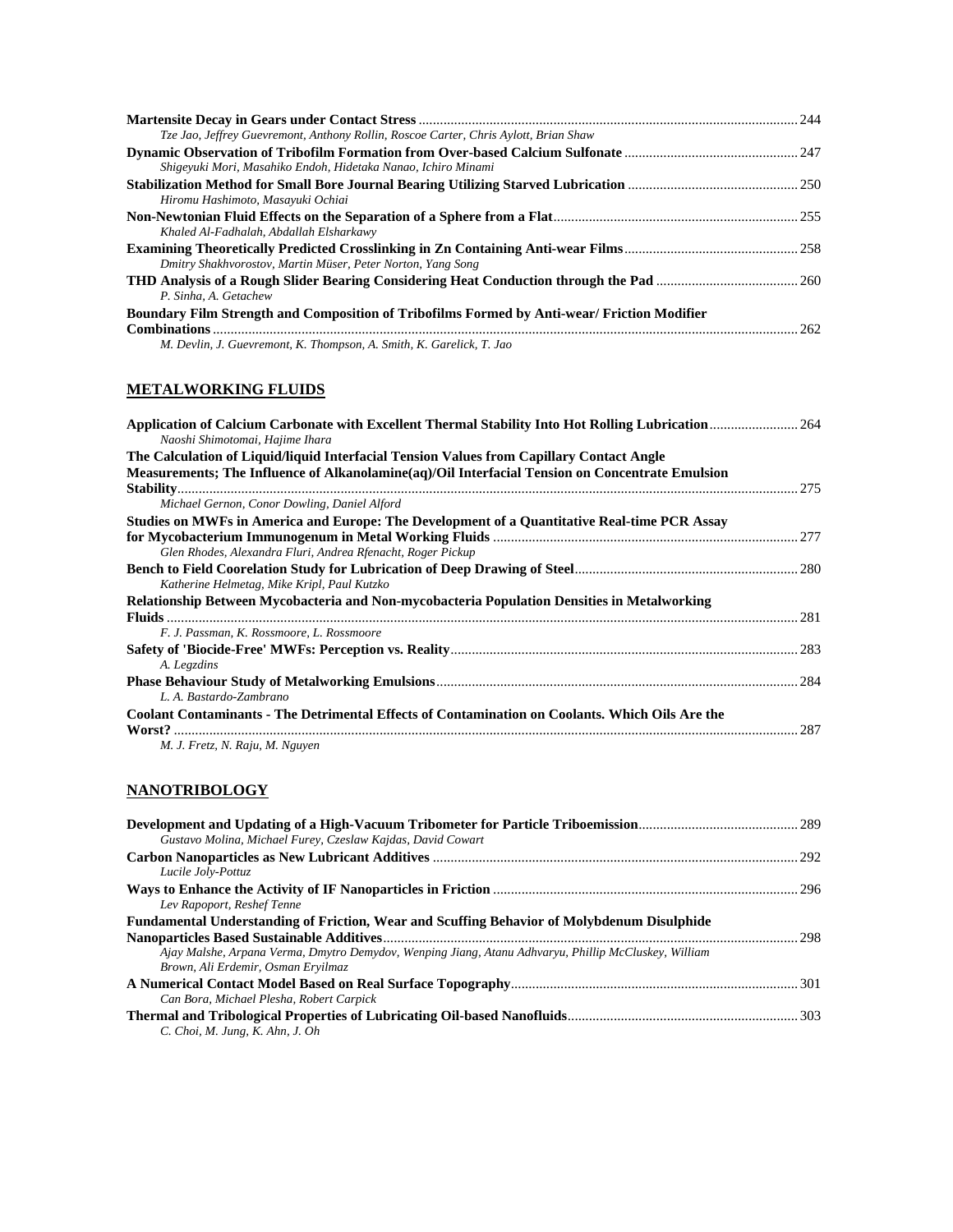| Tze Jao, Jeffrey Guevremont, Anthony Rollin, Roscoe Carter, Chris Aylott, Brian Shaw              |     |
|---------------------------------------------------------------------------------------------------|-----|
|                                                                                                   |     |
| Shigeyuki Mori, Masahiko Endoh, Hidetaka Nanao, Ichiro Minami                                     |     |
|                                                                                                   |     |
| Hiromu Hashimoto, Masayuki Ochiai                                                                 |     |
|                                                                                                   |     |
| Khaled Al-Fadhalah, Abdallah Elsharkawy                                                           |     |
|                                                                                                   |     |
| Dmitry Shakhvorostov, Martin Müser, Peter Norton, Yang Song                                       |     |
|                                                                                                   |     |
| P. Sinha, A. Getachew                                                                             |     |
| <b>Boundary Film Strength and Composition of Tribofilms Formed by Anti-wear/Friction Modifier</b> |     |
|                                                                                                   | 262 |
| M. Devlin, J. Guevremont, K. Thompson, A. Smith, K. Garelick, T. Jao                              |     |

## **METALWORKING FLUIDS**

| Naoshi Shimotomai, Hajime Ihara                                                                                                                                                             |  |
|---------------------------------------------------------------------------------------------------------------------------------------------------------------------------------------------|--|
| The Calculation of Liquid/liquid Interfacial Tension Values from Capillary Contact Angle<br>Measurements; The Influence of Alkanolamine(aq)/Oil Interfacial Tension on Concentrate Emulsion |  |
| Michael Gernon, Conor Dowling, Daniel Alford                                                                                                                                                |  |
| Studies on MWFs in America and Europe: The Development of a Quantitative Real-time PCR Assay<br>Glen Rhodes, Alexandra Fluri, Andrea Rfenacht, Roger Pickup                                 |  |
| Katherine Helmetag, Mike Kripl, Paul Kutzko                                                                                                                                                 |  |
| Relationship Between Mycobacteria and Non-mycobacteria Population Densities in Metalworking                                                                                                 |  |
| F. J. Passman, K. Rossmoore, L. Rossmoore                                                                                                                                                   |  |
| A. Legzdins                                                                                                                                                                                 |  |
| L. A. Bastardo-Zambrano                                                                                                                                                                     |  |
| Coolant Contaminants - The Detrimental Effects of Contamination on Coolants. Which Oils Are the                                                                                             |  |
| M. J. Fretz, N. Raju, M. Nguyen                                                                                                                                                             |  |

## **NANOTRIBOLOGY**

| Gustavo Molina, Michael Furey, Czeslaw Kajdas, David Cowart                                          |  |
|------------------------------------------------------------------------------------------------------|--|
|                                                                                                      |  |
| Lucile Joly-Pottuz                                                                                   |  |
|                                                                                                      |  |
| Lev Rapoport, Reshef Tenne                                                                           |  |
| <b>Fundamental Understanding of Friction, Wear and Scuffing Behavior of Molybdenum Disulphide</b>    |  |
|                                                                                                      |  |
| Ajay Malshe, Arpana Verma, Dmytro Demydov, Wenping Jiang, Atanu Adhvaryu, Phillip McCluskey, William |  |
| Brown, Ali Erdemir, Osman Ervilmaz                                                                   |  |
|                                                                                                      |  |
| Can Bora, Michael Plesha, Robert Carpick                                                             |  |
|                                                                                                      |  |
| $C.$ Choi, M. Jung, K. Ahn, J. Oh                                                                    |  |
|                                                                                                      |  |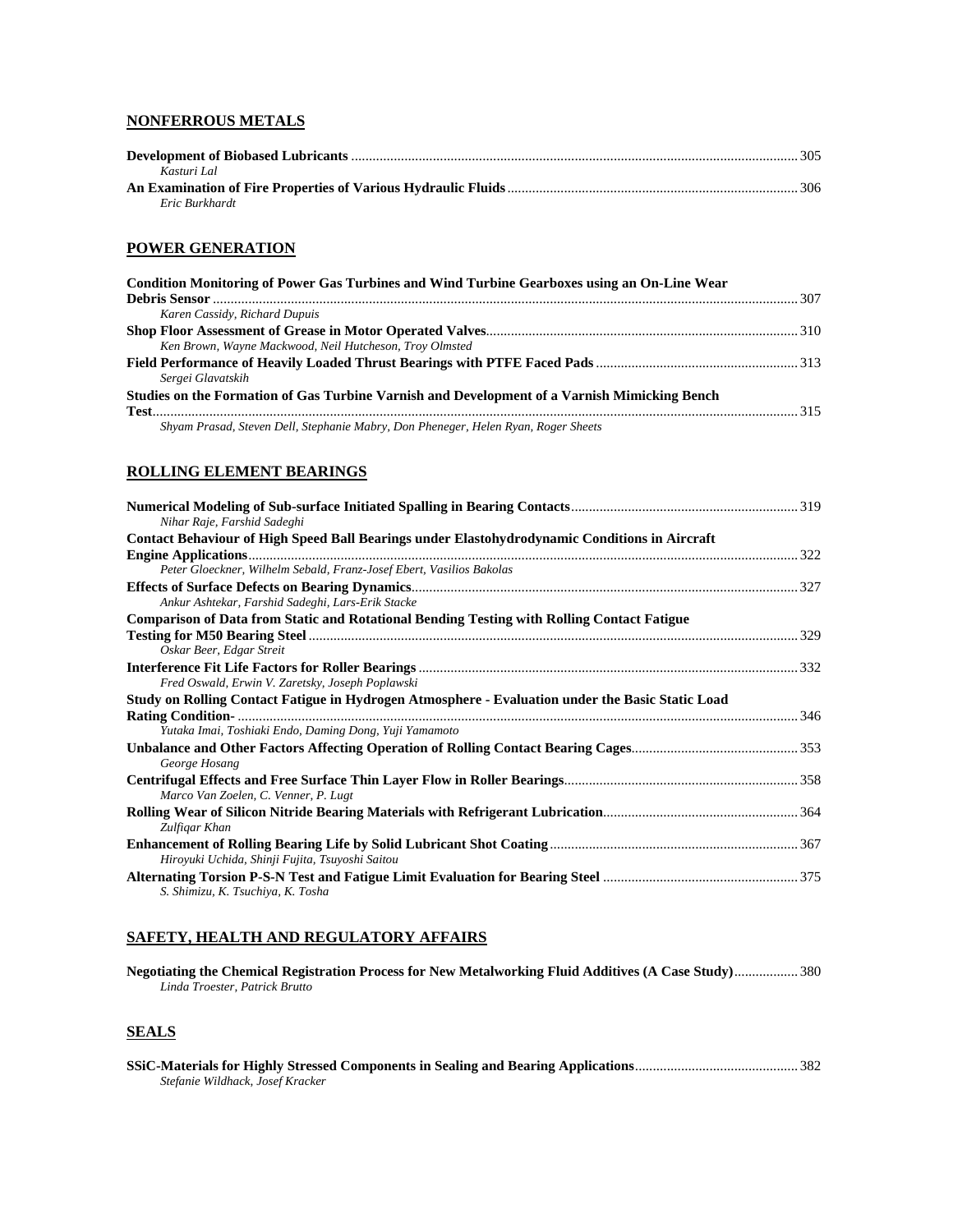#### **NONFERROUS METALS**

| Kasturi Lal    |  |
|----------------|--|
|                |  |
| Eric Burkhardt |  |

#### **POWER GENERATION**

| Condition Monitoring of Power Gas Turbines and Wind Turbine Gearboxes using an On-Line Wear  |  |
|----------------------------------------------------------------------------------------------|--|
| Karen Cassidy, Richard Dupuis                                                                |  |
|                                                                                              |  |
| Ken Brown, Wayne Mackwood, Neil Hutcheson, Troy Olmsted                                      |  |
|                                                                                              |  |
| Sergei Glavatskih                                                                            |  |
| Studies on the Formation of Gas Turbine Varnish and Development of a Varnish Mimicking Bench |  |
|                                                                                              |  |
| Shyam Prasad, Steven Dell, Stephanie Mabry, Don Pheneger, Helen Ryan, Roger Sheets           |  |

#### **ROLLING ELEMENT BEARINGS**

| Nihar Raje, Farshid Sadeghi                                                                       |  |
|---------------------------------------------------------------------------------------------------|--|
| Contact Behaviour of High Speed Ball Bearings under Elastohydrodynamic Conditions in Aircraft     |  |
|                                                                                                   |  |
| Peter Gloeckner, Wilhelm Sebald, Franz-Josef Ebert, Vasilios Bakolas                              |  |
|                                                                                                   |  |
| Ankur Ashtekar, Farshid Sadeghi, Lars-Erik Stacke                                                 |  |
| <b>Comparison of Data from Static and Rotational Bending Testing with Rolling Contact Fatigue</b> |  |
|                                                                                                   |  |
| Oskar Beer, Edgar Streit                                                                          |  |
|                                                                                                   |  |
| Fred Oswald, Erwin V. Zaretsky, Joseph Poplawski                                                  |  |
| Study on Rolling Contact Fatigue in Hydrogen Atmosphere - Evaluation under the Basic Static Load  |  |
|                                                                                                   |  |
| Yutaka Imai, Toshiaki Endo, Daming Dong, Yuji Yamamoto                                            |  |
|                                                                                                   |  |
| George Hosang                                                                                     |  |
|                                                                                                   |  |
| Marco Van Zoelen, C. Venner, P. Lugt                                                              |  |
|                                                                                                   |  |
| Zulfigar Khan                                                                                     |  |
|                                                                                                   |  |
| Hiroyuki Uchida, Shinji Fujita, Tsuyoshi Saitou                                                   |  |
|                                                                                                   |  |
| S. Shimizu, K. Tsuchiya, K. Tosha                                                                 |  |

#### **SAFETY, HEALTH AND REGULATORY AFFAIRS**

| Negotiating the Chemical Registration Process for New Metalworking Fluid Additives (A Case Study) 380 |  |
|-------------------------------------------------------------------------------------------------------|--|
| Linda Troester, Patrick Brutto                                                                        |  |

## **SEALS**

| Stefanie Wildhack, Josef Kracker |  |
|----------------------------------|--|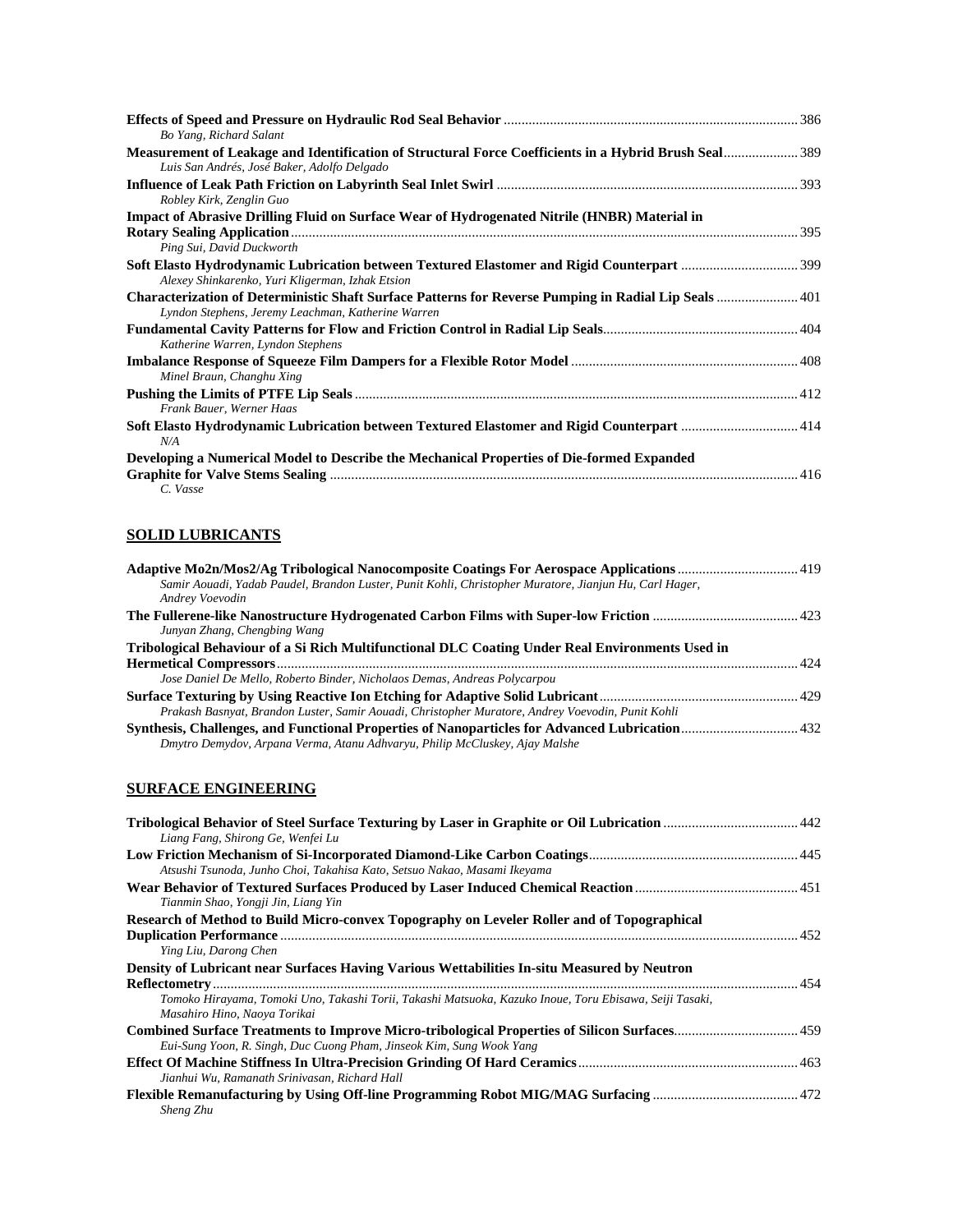| Bo Yang, Richard Salant<br>Measurement of Leakage and Identification of Structural Force Coefficients in a Hybrid Brush Seal389                             |  |
|-------------------------------------------------------------------------------------------------------------------------------------------------------------|--|
| Luis San Andrés, José Baker, Adolfo Delgado<br>Robley Kirk, Zenglin Guo                                                                                     |  |
| Impact of Abrasive Drilling Fluid on Surface Wear of Hydrogenated Nitrile (HNBR) Material in                                                                |  |
| Ping Sui, David Duckworth                                                                                                                                   |  |
| Alexey Shinkarenko, Yuri Kligerman, Izhak Etsion                                                                                                            |  |
| Characterization of Deterministic Shaft Surface Patterns for Reverse Pumping in Radial Lip Seals  401<br>Lyndon Stephens, Jeremy Leachman, Katherine Warren |  |
| Katherine Warren, Lyndon Stephens                                                                                                                           |  |
| Minel Braun, Changhu Xing                                                                                                                                   |  |
| Frank Bauer, Werner Haas                                                                                                                                    |  |
| Soft Elasto Hydrodynamic Lubrication between Textured Elastomer and Rigid Counterpart  414<br>N/A                                                           |  |
| Developing a Numerical Model to Describe the Mechanical Properties of Die-formed Expanded                                                                   |  |
| C. Vasse                                                                                                                                                    |  |

## **SOLID LUBRICANTS**

| Adaptive Mo2n/Mos2/Ag Tribological Nanocomposite Coatings For Aerospace Applications  419              |  |
|--------------------------------------------------------------------------------------------------------|--|
| Samir Aouadi, Yadab Paudel, Brandon Luster, Punit Kohli, Christopher Muratore, Jianjun Hu, Carl Hager, |  |
| Andrey Voevodin                                                                                        |  |
|                                                                                                        |  |
| Junyan Zhang, Chengbing Wang                                                                           |  |
| Tribological Behaviour of a Si Rich Multifunctional DLC Coating Under Real Environments Used in        |  |
|                                                                                                        |  |
| Jose Daniel De Mello, Roberto Binder, Nicholaos Demas, Andreas Polycarpou                              |  |
|                                                                                                        |  |
| Prakash Basnyat, Brandon Luster, Samir Aouadi, Christopher Muratore, Andrey Voevodin, Punit Kohli      |  |
|                                                                                                        |  |
| Dmytro Demydov, Arpana Verma, Atanu Adhvaryu, Philip McCluskey, Ajay Malshe                            |  |
|                                                                                                        |  |

## **SURFACE ENGINEERING**

| Liang Fang, Shirong Ge, Wenfei Lu                                                                                                       |  |
|-----------------------------------------------------------------------------------------------------------------------------------------|--|
| Atsushi Tsunoda, Junho Choi, Takahisa Kato, Setsuo Nakao, Masami Ikeyama                                                                |  |
| Tianmin Shao, Yongji Jin, Liang Yin                                                                                                     |  |
| Research of Method to Build Micro-convex Topography on Leveler Roller and of Topographical                                              |  |
|                                                                                                                                         |  |
| Ying Liu, Darong Chen                                                                                                                   |  |
| Density of Lubricant near Surfaces Having Various Wettabilities In-situ Measured by Neutron                                             |  |
|                                                                                                                                         |  |
| Tomoko Hirayama, Tomoki Uno, Takashi Torii, Takashi Matsuoka, Kazuko Inoue, Toru Ebisawa, Seiji Tasaki,<br>Masahiro Hino, Naoya Torikai |  |
| Combined Surface Treatments to Improve Micro-tribological Properties of Silicon Surfaces 459                                            |  |
| Eui-Sung Yoon, R. Singh, Duc Cuong Pham, Jinseok Kim, Sung Wook Yang                                                                    |  |
|                                                                                                                                         |  |
| Jianhui Wu, Ramanath Srinivasan, Richard Hall                                                                                           |  |
| <b>Sheng Zhu</b>                                                                                                                        |  |